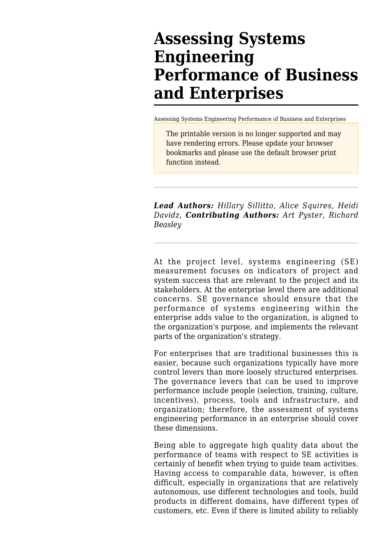# **Assessing Systems Engineering Performance of Business and Enterprises**

[Assessing Systems Engineering Performance of Business and Enterprises](http://sandbox.sebokwiki.org/Assessing_Systems_Engineering_Performance_of_Business_and_Enterprises)

The printable version is no longer supported and may have rendering errors. Please update your browser bookmarks and please use the default browser print function instead.

*Lead Authors: Hillary Sillitto, Alice Squires, Heidi Davidz*, *Contributing Authors: Art Pyster, Richard Beasley*

At the project level, systems engineering (SE) [measurement](http://sandbox.sebokwiki.org/Measurement) focuses on indicators of project and system success that are relevant to the project and its stakeholders. At the enterprise level there are additional concerns. SE governance should ensure that the performance of systems engineering within the enterprise adds value to the organization, is aligned to the organization's purpose, and implements the relevant parts of the organization's strategy.

For enterprises that are traditional businesses this is easier, because such organizations typically have more control levers than more loosely structured enterprises. The governance levers that can be used to improve performance include people (selection, training, culture, incentives), process, tools and infrastructure, and organization; therefore, the assessment of systems engineering performance in an enterprise should cover these dimensions.

Being able to aggregate high quality data about the performance of teams with respect to SE activities is certainly of benefit when trying to guide team activities. Having access to comparable data, however, is often difficult, especially in organizations that are relatively autonomous, use different technologies and tools, build products in different domains, have different types of customers, etc. Even if there is limited ability to reliably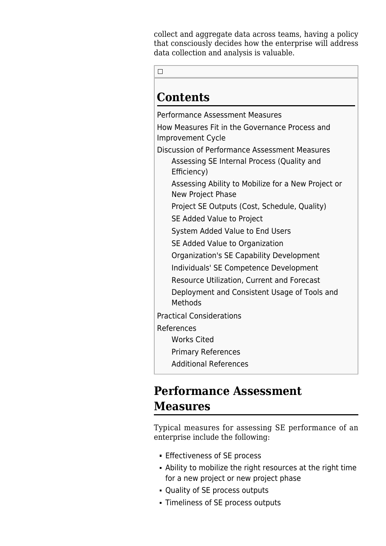collect and aggregate data across teams, having a policy that consciously decides how the enterprise will address data collection and analysis is valuable.

 $\Box$ 

# **Contents**

[Performance Assessment Measures](#page--1-0) [How Measures Fit in the Governance Process and](#page--1-0) [Improvement Cycle](#page--1-0) [Discussion of Performance Assessment Measures](#page--1-0) [Assessing SE Internal Process \(Quality and](#Assessing_SE_Internal_Process_.28Quality_and_Efficiency.29) [Efficiency\)](#Assessing_SE_Internal_Process_.28Quality_and_Efficiency.29) [Assessing Ability to Mobilize for a New Project or](#page--1-0) [New Project Phase](#page--1-0) [Project SE Outputs \(Cost, Schedule, Quality\)](#Project_SE_Outputs_.28Cost.2C_Schedule.2C_Quality.29) [SE Added Value to Project](#page--1-0) [System Added Value to End Users](#page--1-0) [SE Added Value to Organization](#page--1-0) [Organization's SE Capability Development](#Organization.27s_SE_Capability_Development) [Individuals' SE Competence Development](#Individuals.27_SE_Competence_Development) [Resource Utilization, Current and Forecast](#Resource_Utilization.2C_Current_and_Forecast) [Deployment and Consistent Usage of Tools and](#page--1-0) [Methods](#page--1-0) [Practical Considerations](#page--1-0) [References](#page--1-0) [Works Cited](#page--1-0) [Primary References](#page--1-0) [Additional References](#page--1-0)

## **Performance Assessment Measures**

Typical measures for assessing SE performance of an enterprise include the following:

- **Effectiveness of SE process**
- Ability to mobilize the right resources at the right time for a new project or new project phase
- Quality of SE process outputs
- Timeliness of SE process outputs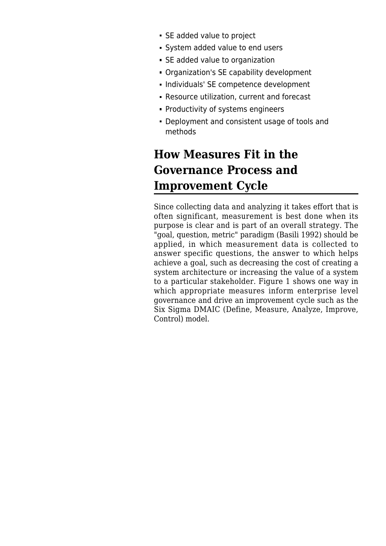- SE added value to project
- System added value to end users
- SE added value to organization
- Organization's SE capability development
- Individuals' SE competence development
- Resource utilization, current and forecast
- Productivity of systems engineers
- Deployment and consistent usage of tools and methods

# **How Measures Fit in the Governance Process and Improvement Cycle**

Since collecting data and analyzing it takes effort that is often significant, measurement is best done when its purpose is clear and is part of an overall strategy. The "goal, question, metric" paradigm (Basili 1992) should be applied, in which measurement data is collected to answer specific questions, the answer to which helps achieve a goal, such as decreasing the cost of creating a system architecture or increasing the value of a system to a particular stakeholder. Figure 1 shows one way in which appropriate measures inform enterprise level governance and drive an improvement cycle such as the Six Sigma DMAIC (Define, Measure, Analyze, Improve, Control) model.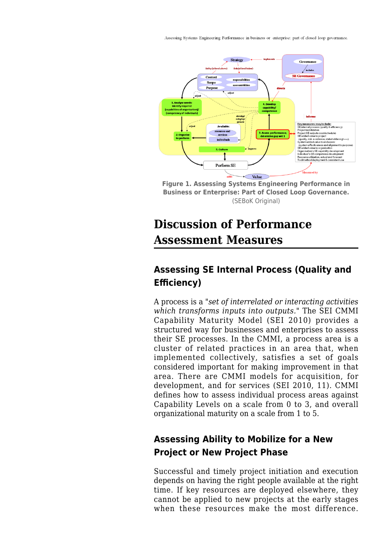Assessing Systems Engineering Performance in business or enterprise: part of closed loop governance.



**Figure 1. Assessing Systems Engineering Performance in Business or Enterprise: Part of Closed Loop Governance.** (SEBoK Original)

# **Discussion of Performance Assessment Measures**

### **Assessing SE Internal Process (Quality and Efficiency)**

A process is a *"set of interrelated or interacting activities which transforms inputs into outputs."* The SEI CMMI Capability Maturity Model (SEI 2010) provides a structured way for businesses and enterprises to assess their SE processes. In the CMMI, a process area is a cluster of related practices in an area that, when implemented collectively, satisfies a set of goals considered important for making improvement in that area. There are CMMI models for acquisition, for development, and for services (SEI 2010, 11). CMMI defines how to assess individual process areas against Capability Levels on a scale from 0 to 3, and overall organizational maturity on a scale from 1 to 5.

### **Assessing Ability to Mobilize for a New Project or New Project Phase**

Successful and timely project initiation and execution depends on having the right people available at the right time. If key resources are deployed elsewhere, they cannot be applied to new projects at the early stages when these resources make the most difference.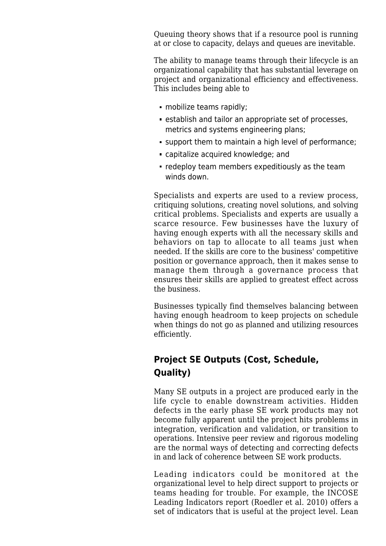Queuing theory shows that if a resource pool is running at or close to capacity, delays and queues are inevitable.

The ability to manage teams through their lifecycle is an organizational capability that has substantial leverage on project and organizational efficiency and effectiveness. This includes being able to

- mobilize teams rapidly;
- establish and tailor an appropriate set of processes, metrics and systems engineering plans;
- support them to maintain a high level of performance;
- capitalize acquired knowledge; and
- redeploy team members expeditiously as the team winds down.

Specialists and experts are used to a review process, critiquing solutions, creating novel solutions, and solving critical problems. Specialists and experts are usually a scarce resource. Few businesses have the luxury of having enough experts with all the necessary skills and behaviors on tap to allocate to all teams just when needed. If the skills are core to the business' competitive position or governance approach, then it makes sense to manage them through a governance process that ensures their skills are applied to greatest effect across the business.

Businesses typically find themselves balancing between having enough headroom to keep projects on schedule when things do not go as planned and utilizing resources efficiently.

### **Project SE Outputs (Cost, Schedule, Quality)**

Many SE outputs in a project are produced early in the life cycle to enable downstream activities. Hidden defects in the early phase SE work products may not become fully apparent until the project hits problems in integration, verification and validation, or transition to operations. Intensive peer review and rigorous modeling are the normal ways of detecting and correcting defects in and lack of coherence between SE work products.

Leading indicators could be monitored at the organizational level to help direct support to projects or teams heading for trouble. For example, the INCOSE Leading Indicators report (Roedler et al. 2010) offers a set of indicators that is useful at the project level. Lean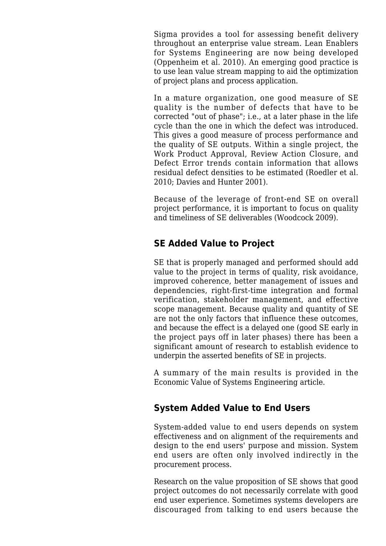Sigma provides a tool for assessing benefit delivery throughout an enterprise value stream. Lean Enablers for Systems Engineering are now being developed (Oppenheim et al. 2010). An emerging good practice is to use lean value stream mapping to aid the optimization of project plans and process application.

In a mature organization, one good measure of [SE](http://sandbox.sebokwiki.org/Quality_Management) [quality](http://sandbox.sebokwiki.org/Quality_Management) is the number of defects that have to be corrected "out of phase"; i.e., at a later phase in the life cycle than the one in which the defect was introduced. This gives a good measure of process performance and the quality of SE outputs. Within a single project, the Work Product Approval, Review Action Closure, and Defect Error trends contain information that allows residual defect densities to be estimated (Roedler et al. 2010; Davies and Hunter 2001).

Because of the leverage of front-end SE on overall project performance, it is important to focus on quality and timeliness of SE deliverables (Woodcock 2009).

#### **SE Added Value to Project**

SE that is properly [managed](http://sandbox.sebokwiki.org/Systems_Engineering_Management) and performed should add value to the project in terms of quality, risk avoidance, improved coherence, better management of issues and dependencies, right-first-time integration and formal verification, stakeholder management, and effective scope management. Because quality and quantity of SE are not the only factors that influence these outcomes, and because the effect is a delayed one (good SE early in the project pays off in later phases) there has been a significant amount of research to establish evidence to underpin the asserted benefits of SE in projects.

A summary of the main results is provided in the [Economic Value of Systems Engineering](http://sandbox.sebokwiki.org/Economic_Value_of_Systems_Engineering) article.

#### **System Added Value to End Users**

System-added value to end users depends on system effectiveness and on alignment of the requirements and design to the end users' purpose and mission. System end users are often only involved indirectly in the procurement process.

Research on the value proposition of SE shows that good project outcomes do not necessarily correlate with good end user experience. Sometimes systems developers are discouraged from talking to end users because the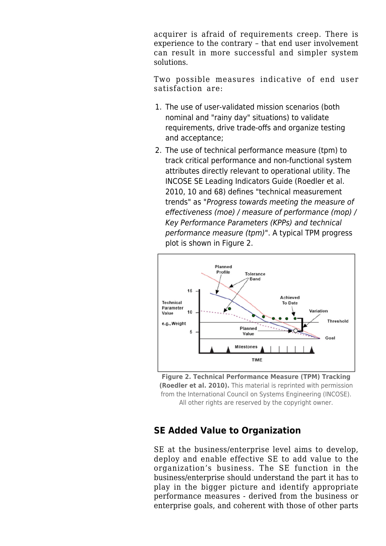acquirer is afraid of requirements creep. There is experience to the contrary – that end user involvement can result in more successful and simpler system solutions.

Two possible measures indicative of end user satisfaction are:

- 1. The use of user-validated mission scenarios (both nominal and "rainy day" situations) to validate requirements, drive trade-offs and organize testing and acceptance;
- 2. The use of technical performance measure (tpm) to track critical performance and non-functional system attributes directly relevant to operational utility. The INCOSE SE Leading Indicators Guide (Roedler et al. 2010, 10 and 68) defines "technical measurement trends" as "Progress towards meeting the measure of effectiveness (moe) / measure of performance (mop) / Key Performance Parameters (KPPs) and technical performance measure (tpm)". A typical TPM progress plot is shown in Figure 2.



**Figure 2. Technical Performance Measure (TPM) Tracking (Roedler et al. 2010).** This material is reprinted with permission from the International Council on Systems Engineering (INCOSE). All other rights are reserved by the copyright owner.

#### **SE Added Value to Organization**

SE at the business/enterprise level aims to develop, deploy and enable effective SE to add value to the organization's business. The SE function in the business/enterprise should understand the part it has to play in the bigger picture and identify appropriate performance measures - derived from the business or enterprise goals, and coherent with those of other parts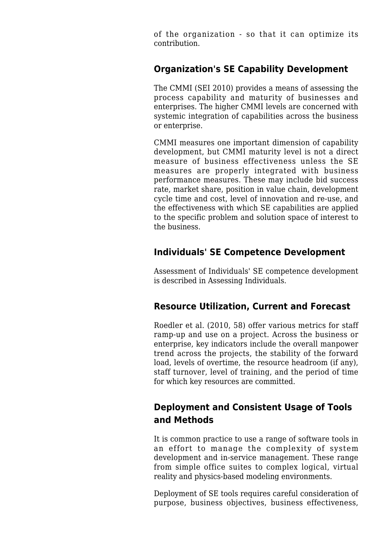of the organization - so that it can optimize its contribution.

#### **Organization's SE Capability Development**

The CMMI (SEI 2010) provides a means of assessing the process capability and maturity of businesses and enterprises. The higher CMMI levels are concerned with systemic integration of capabilities across the business or enterprise.

CMMI measures one important dimension of capability development, but CMMI maturity level is not a direct measure of business effectiveness unless the SE measures are properly integrated with business performance measures. These may include bid success rate, market share, position in value chain, development cycle time and cost, level of innovation and re-use, and the effectiveness with which SE capabilities are applied to the specific problem and solution space of interest to the business.

#### **Individuals' SE Competence Development**

Assessment of Individuals' SE competence development is described in [Assessing Individuals](http://sandbox.sebokwiki.org/Assessing_Individuals).

#### **Resource Utilization, Current and Forecast**

Roedler et al. (2010, 58) offer various metrics for staff ramp-up and use on a project. Across the business or enterprise, key indicators include the overall manpower trend across the projects, the stability of the forward load, levels of overtime, the resource headroom (if any), staff turnover, level of training, and the period of time for which key resources are committed.

#### **Deployment and Consistent Usage of Tools and Methods**

It is common practice to use a range of software tools in an effort to manage the complexity of system development and in-service management. These range from simple office suites to complex logical, virtual reality and physics-based modeling environments.

Deployment of SE tools requires careful consideration of purpose, business objectives, business effectiveness,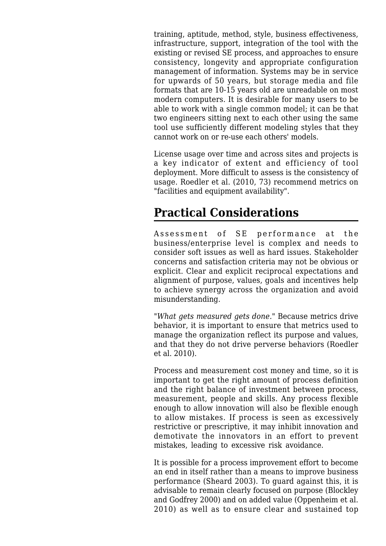training, aptitude, method, style, business effectiveness, infrastructure, support, integration of the tool with the existing or revised SE process, and approaches to ensure consistency, longevity and appropriate configuration management of information. Systems may be in service for upwards of 50 years, but storage media and file formats that are 10-15 years old are unreadable on most modern computers. It is desirable for many users to be able to work with a single common model; it can be that two engineers sitting next to each other using the same tool use sufficiently different modeling styles that they cannot work on or re-use each others' models.

License usage over time and across sites and projects is a key indicator of extent and efficiency of tool deployment. More difficult to assess is the consistency of usage. Roedler et al. (2010, 73) recommend metrics on "facilities and equipment availability".

### **Practical Considerations**

Assessment of SE performance at the business/enterprise level is complex and needs to consider soft issues as well as hard issues. Stakeholder concerns and satisfaction criteria may not be obvious or explicit. Clear and explicit reciprocal expectations and alignment of purpose, values, goals and incentives help to achieve synergy across the organization and avoid misunderstanding.

*"What gets measured gets done."* Because metrics drive behavior, it is important to ensure that metrics used to manage the organization reflect its purpose and values, and that they do not drive perverse behaviors (Roedler et al. 2010).

Process and measurement cost money and time, so it is important to get the right amount of process definition and the right balance of investment between process, measurement, people and skills. Any process flexible enough to allow innovation will also be flexible enough to allow mistakes. If process is seen as excessively restrictive or prescriptive, it may inhibit innovation and demotivate the innovators in an effort to prevent mistakes, leading to excessive risk avoidance.

It is possible for a process improvement effort to become an end in itself rather than a means to improve business performance (Sheard 2003). To guard against this, it is advisable to remain clearly focused on purpose (Blockley and Godfrey 2000) and on added value (Oppenheim et al. 2010) as well as to ensure clear and sustained top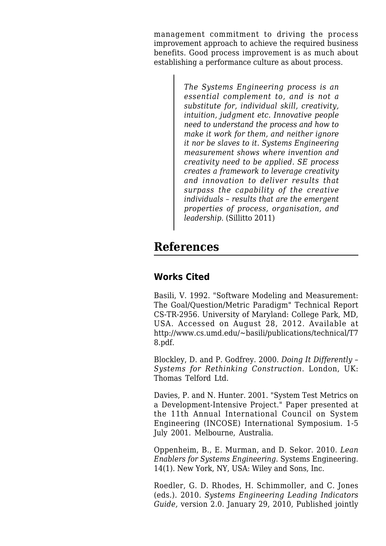management commitment to driving the process improvement approach to achieve the required business benefits. Good process improvement is as much about establishing a performance culture as about process.

> *The Systems Engineering process is an essential complement to, and is not a substitute for, individual skill, creativity, intuition, judgment etc. Innovative people need to understand the process and how to make it work for them, and neither ignore it nor be slaves to it. Systems Engineering measurement shows where invention and creativity need to be applied. SE process creates a framework to leverage creativity and innovation to deliver results that surpass the capability of the creative individuals – results that are the emergent properties of process, organisation, and leadership.* (Sillitto 2011)

### **References**

#### **Works Cited**

Basili, V. 1992. "[Software Modeling and Measurement:](http://sandbox.sebokwiki.org/Software_Modeling_and_Measurement:_The_Goal/Question/Metric_Paradigm) [The Goal/Question/Metric Paradigm"](http://sandbox.sebokwiki.org/Software_Modeling_and_Measurement:_The_Goal/Question/Metric_Paradigm) Technical Report CS-TR-2956. University of Maryland: College Park, MD, USA. Accessed on August 28, 2012. Available at [http://www.cs.umd.edu/~basili/publications/technical/T7](http://www.cs.umd.edu/~basili/publications/technical/T78.pdf) [8.pdf.](http://www.cs.umd.edu/~basili/publications/technical/T78.pdf)

Blockley, D. and P. Godfrey. 2000. *Doing It Differently – Systems for Rethinking Construction*. London, UK: Thomas Telford Ltd.

Davies, P. and N. Hunter. 2001. "System Test Metrics on a Development-Intensive Project." Paper presented at the 11th Annual International Council on System Engineering (INCOSE) International Symposium. 1-5 July 2001. Melbourne, Australia.

Oppenheim, B., E. Murman, and D. Sekor. 2010. *[Lean](http://sandbox.sebokwiki.org/Lean_Enablers_for_Systems_Engineering) [Enablers for Systems Engineering](http://sandbox.sebokwiki.org/Lean_Enablers_for_Systems_Engineering)*. Systems Engineering. 14(1). New York, NY, USA: Wiley and Sons, Inc.

Roedler, G. D. Rhodes, H. Schimmoller, and C. Jones (eds.). 2010. *[Systems Engineering Leading Indicators](http://sandbox.sebokwiki.org/Systems_Engineering_Leading_Indicators_Guide) [Guide,](http://sandbox.sebokwiki.org/Systems_Engineering_Leading_Indicators_Guide)* version 2.0. January 29, 2010, Published jointly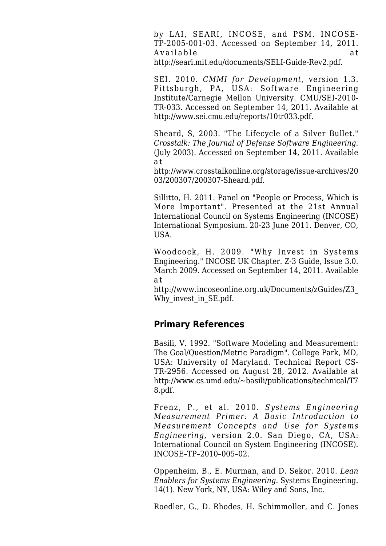by LAI, SEARI, INCOSE, and PSM. INCOSE-TP-2005-001-03. Accessed on September 14, 2011. Available at <http://seari.mit.edu/documents/SELI-Guide-Rev2.pdf>.

SEI. 2010. *CMMI for Development,* version 1.3. Pittsburgh, PA, USA: Software Engineering Institute/Carnegie Mellon University. CMU/SEI-2010- TR-033. Accessed on September 14, 2011. Available at <http://www.sei.cmu.edu/reports/10tr033.pdf>.

Sheard, S, 2003. "The Lifecycle of a Silver Bullet." *Crosstalk: The Journal of Defense Software Engineering.* (July 2003). Accessed on September 14, 2011. Available a t

[http://www.crosstalkonline.org/storage/issue-archives/20](http://www.crosstalkonline.org/storage/issue-archives/2003/200307/200307-Sheard.pdf) [03/200307/200307-Sheard.pdf](http://www.crosstalkonline.org/storage/issue-archives/2003/200307/200307-Sheard.pdf).

Sillitto, H. 2011. Panel on "People or Process, Which is More Important". Presented at the 21st Annual International Council on Systems Engineering (INCOSE) International Symposium. 20-23 June 2011. Denver, CO, USA.

Woodcock, H. 2009. "Why Invest in Systems Engineering." INCOSE UK Chapter. Z-3 Guide, Issue 3.0. March 2009. Accessed on September 14, 2011. Available a t

[http://www.incoseonline.org.uk/Documents/zGuides/Z3\\_](http://www.incoseonline.org.uk/Documents/zGuides/Z3_Why_invest_in_SE.pdf) Why invest in SE.pdf.

#### **Primary References**

Basili, V. 1992. "[Software Modeling and Measurement:](http://sandbox.sebokwiki.org/Software_Modeling_and_Measurement:_The_Goal/Question/Metric_Paradigm) [The Goal/Question/Metric Paradigm](http://sandbox.sebokwiki.org/Software_Modeling_and_Measurement:_The_Goal/Question/Metric_Paradigm)". College Park, MD, USA: University of Maryland. Technical Report CS-TR-2956. Accessed on August 28, 2012. Available at [http://www.cs.umd.edu/~basili/publications/technical/T7](http://www.cs.umd.edu/~basili/publications/technical/T78.pdf) [8.pdf.](http://www.cs.umd.edu/~basili/publications/technical/T78.pdf)

Frenz, P., et al. 2010. *[Systems Engineering](http://sandbox.sebokwiki.org/Systems_Engineering_Measurement_Primer) [Measurement Primer](http://sandbox.sebokwiki.org/Systems_Engineering_Measurement_Primer): A Basic Introduction to Measurement Concepts and Use for Systems Engineering,* version 2.0. San Diego, CA, USA: International Council on System Engineering (INCOSE). INCOSE–TP–2010–005–02.

Oppenheim, B., E. Murman, and D. Sekor. 2010. *[Lean](http://sandbox.sebokwiki.org/Lean_Enablers_for_Systems_Engineering) [Enablers for Systems Engineering](http://sandbox.sebokwiki.org/Lean_Enablers_for_Systems_Engineering)*. Systems Engineering. 14(1). New York, NY, USA: Wiley and Sons, Inc.

Roedler, G., D. Rhodes, H. Schimmoller, and C. Jones